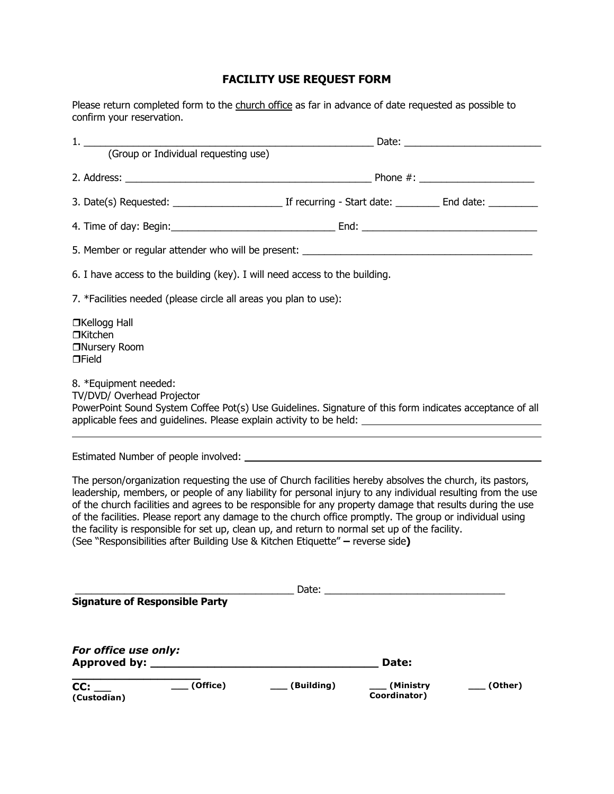## **FACILITY USE REQUEST FORM**

Please return completed form to the church office as far in advance of date requested as possible to confirm your reservation.

| 6. I have access to the building (key). I will need access to the building.                                                                                                                                                                                                                                                                                                                                                                                                                                                                                                                                                           |                                                 |         |
|---------------------------------------------------------------------------------------------------------------------------------------------------------------------------------------------------------------------------------------------------------------------------------------------------------------------------------------------------------------------------------------------------------------------------------------------------------------------------------------------------------------------------------------------------------------------------------------------------------------------------------------|-------------------------------------------------|---------|
| 7. *Facilities needed (please circle all areas you plan to use):                                                                                                                                                                                                                                                                                                                                                                                                                                                                                                                                                                      |                                                 |         |
| □Kellogg Hall<br>□Kitchen<br>□Nursery Room<br>$\Box$ Field                                                                                                                                                                                                                                                                                                                                                                                                                                                                                                                                                                            |                                                 |         |
| 8. *Equipment needed:<br>TV/DVD/ Overhead Projector<br>PowerPoint Sound System Coffee Pot(s) Use Guidelines. Signature of this form indicates acceptance of all                                                                                                                                                                                                                                                                                                                                                                                                                                                                       |                                                 |         |
|                                                                                                                                                                                                                                                                                                                                                                                                                                                                                                                                                                                                                                       |                                                 |         |
| The person/organization requesting the use of Church facilities hereby absolves the church, its pastors,<br>leadership, members, or people of any liability for personal injury to any individual resulting from the use<br>of the church facilities and agrees to be responsible for any property damage that results during the use<br>of the facilities. Please report any damage to the church office promptly. The group or individual using<br>the facility is responsible for set up, clean up, and return to normal set up of the facility.<br>(See "Responsibilities after Building Use & Kitchen Etiquette" - reverse side) |                                                 |         |
| <b>Signature of Responsible Party</b>                                                                                                                                                                                                                                                                                                                                                                                                                                                                                                                                                                                                 | Date: $\overline{\phantom{a}}$                  |         |
| For office use only:<br>Approved by: _____                                                                                                                                                                                                                                                                                                                                                                                                                                                                                                                                                                                            | Date:                                           |         |
| $_$ (Office)<br>CC:<br>(Custodian)                                                                                                                                                                                                                                                                                                                                                                                                                                                                                                                                                                                                    | $\sqrt{Bulding}$<br>_ (Ministry<br>Coordinator) | (Other) |